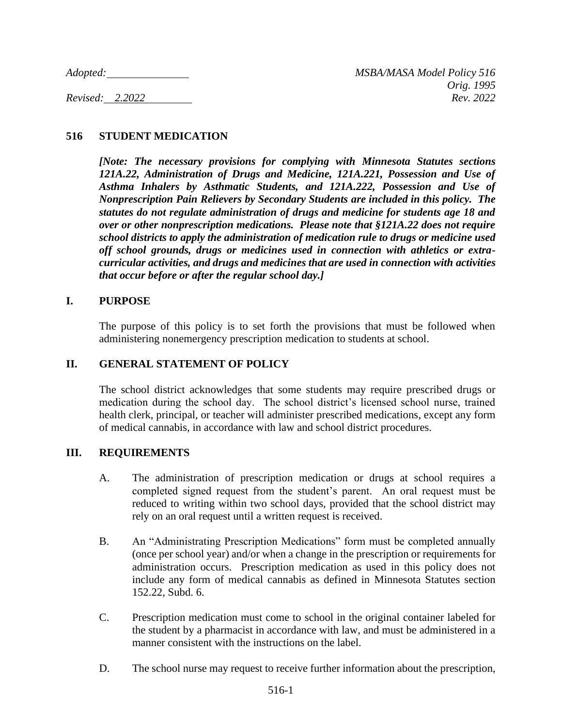# **516 STUDENT MEDICATION**

*[Note: The necessary provisions for complying with Minnesota Statutes sections 121A.22, Administration of Drugs and Medicine, 121A.221, Possession and Use of Asthma Inhalers by Asthmatic Students, and 121A.222, Possession and Use of Nonprescription Pain Relievers by Secondary Students are included in this policy. The statutes do not regulate administration of drugs and medicine for students age 18 and over or other nonprescription medications. Please note that §121A.22 does not require school districts to apply the administration of medication rule to drugs or medicine used off school grounds, drugs or medicines used in connection with athletics or extracurricular activities, and drugs and medicines that are used in connection with activities that occur before or after the regular school day.]*

#### **I. PURPOSE**

The purpose of this policy is to set forth the provisions that must be followed when administering nonemergency prescription medication to students at school.

### **II. GENERAL STATEMENT OF POLICY**

The school district acknowledges that some students may require prescribed drugs or medication during the school day. The school district's licensed school nurse, trained health clerk, principal, or teacher will administer prescribed medications, except any form of medical cannabis, in accordance with law and school district procedures.

#### **III. REQUIREMENTS**

- A. The administration of prescription medication or drugs at school requires a completed signed request from the student's parent. An oral request must be reduced to writing within two school days, provided that the school district may rely on an oral request until a written request is received.
- B. An "Administrating Prescription Medications" form must be completed annually (once per school year) and/or when a change in the prescription or requirements for administration occurs. Prescription medication as used in this policy does not include any form of medical cannabis as defined in Minnesota Statutes section 152.22, Subd. 6.
- C. Prescription medication must come to school in the original container labeled for the student by a pharmacist in accordance with law, and must be administered in a manner consistent with the instructions on the label.
- D. The school nurse may request to receive further information about the prescription,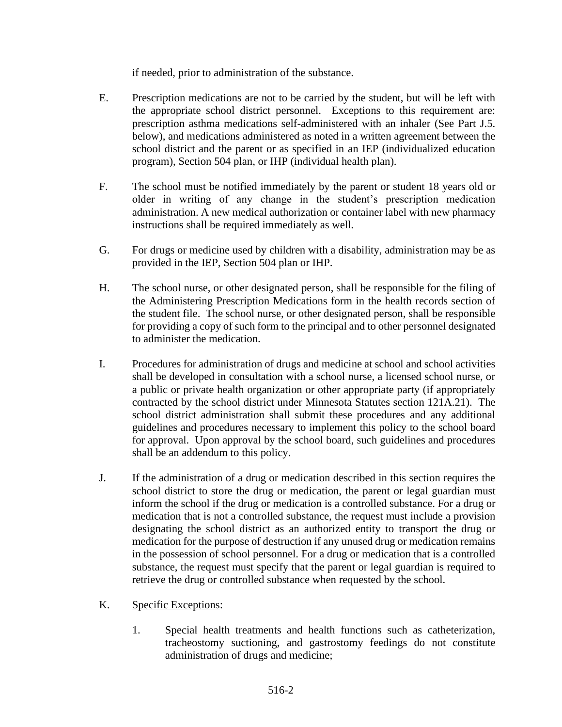if needed, prior to administration of the substance.

- E. Prescription medications are not to be carried by the student, but will be left with the appropriate school district personnel. Exceptions to this requirement are: prescription asthma medications self-administered with an inhaler (See Part J.5. below), and medications administered as noted in a written agreement between the school district and the parent or as specified in an IEP (individualized education program), Section 504 plan, or IHP (individual health plan).
- F. The school must be notified immediately by the parent or student 18 years old or older in writing of any change in the student's prescription medication administration. A new medical authorization or container label with new pharmacy instructions shall be required immediately as well.
- G. For drugs or medicine used by children with a disability, administration may be as provided in the IEP, Section 504 plan or IHP.
- H. The school nurse, or other designated person, shall be responsible for the filing of the Administering Prescription Medications form in the health records section of the student file. The school nurse, or other designated person, shall be responsible for providing a copy of such form to the principal and to other personnel designated to administer the medication.
- I. Procedures for administration of drugs and medicine at school and school activities shall be developed in consultation with a school nurse, a licensed school nurse, or a public or private health organization or other appropriate party (if appropriately contracted by the school district under Minnesota Statutes section 121A.21). The school district administration shall submit these procedures and any additional guidelines and procedures necessary to implement this policy to the school board for approval. Upon approval by the school board, such guidelines and procedures shall be an addendum to this policy.
- J. If the administration of a drug or medication described in this section requires the school district to store the drug or medication, the parent or legal guardian must inform the school if the drug or medication is a controlled substance. For a drug or medication that is not a controlled substance, the request must include a provision designating the school district as an authorized entity to transport the drug or medication for the purpose of destruction if any unused drug or medication remains in the possession of school personnel. For a drug or medication that is a controlled substance, the request must specify that the parent or legal guardian is required to retrieve the drug or controlled substance when requested by the school.

# K. Specific Exceptions:

1. Special health treatments and health functions such as catheterization, tracheostomy suctioning, and gastrostomy feedings do not constitute administration of drugs and medicine;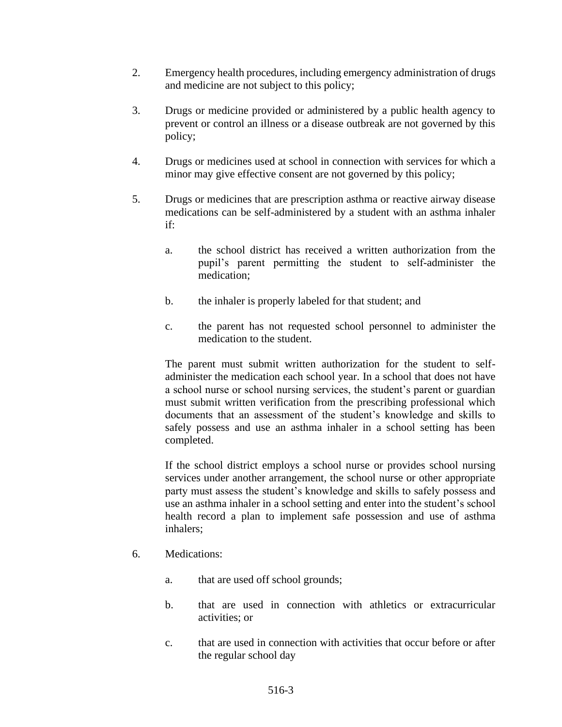- 2. Emergency health procedures, including emergency administration of drugs and medicine are not subject to this policy;
- 3. Drugs or medicine provided or administered by a public health agency to prevent or control an illness or a disease outbreak are not governed by this policy;
- 4. Drugs or medicines used at school in connection with services for which a minor may give effective consent are not governed by this policy;
- 5. Drugs or medicines that are prescription asthma or reactive airway disease medications can be self-administered by a student with an asthma inhaler if:
	- a. the school district has received a written authorization from the pupil's parent permitting the student to self-administer the medication;
	- b. the inhaler is properly labeled for that student; and
	- c. the parent has not requested school personnel to administer the medication to the student.

The parent must submit written authorization for the student to selfadminister the medication each school year. In a school that does not have a school nurse or school nursing services, the student's parent or guardian must submit written verification from the prescribing professional which documents that an assessment of the student's knowledge and skills to safely possess and use an asthma inhaler in a school setting has been completed.

If the school district employs a school nurse or provides school nursing services under another arrangement, the school nurse or other appropriate party must assess the student's knowledge and skills to safely possess and use an asthma inhaler in a school setting and enter into the student's school health record a plan to implement safe possession and use of asthma inhalers;

- 6. Medications:
	- a. that are used off school grounds;
	- b. that are used in connection with athletics or extracurricular activities; or
	- c. that are used in connection with activities that occur before or after the regular school day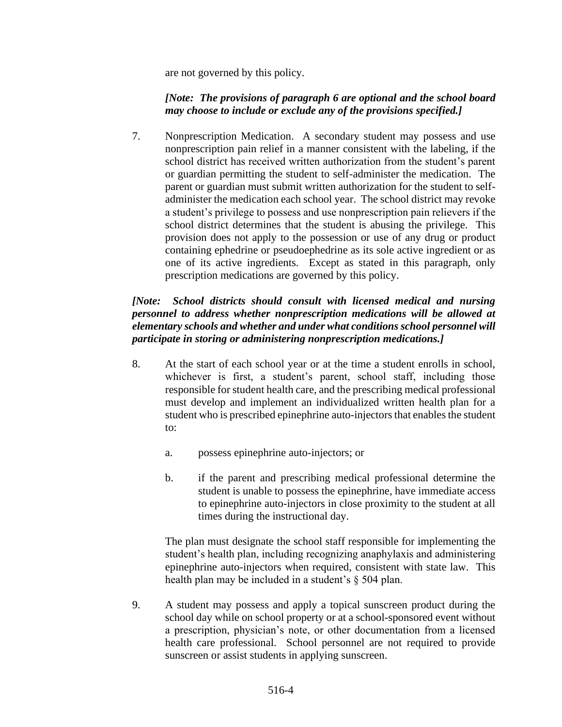are not governed by this policy.

# *[Note: The provisions of paragraph 6 are optional and the school board may choose to include or exclude any of the provisions specified.]*

7. Nonprescription Medication. A secondary student may possess and use nonprescription pain relief in a manner consistent with the labeling, if the school district has received written authorization from the student's parent or guardian permitting the student to self-administer the medication. The parent or guardian must submit written authorization for the student to selfadminister the medication each school year. The school district may revoke a student's privilege to possess and use nonprescription pain relievers if the school district determines that the student is abusing the privilege. This provision does not apply to the possession or use of any drug or product containing ephedrine or pseudoephedrine as its sole active ingredient or as one of its active ingredients. Except as stated in this paragraph, only prescription medications are governed by this policy.

# *[Note: School districts should consult with licensed medical and nursing personnel to address whether nonprescription medications will be allowed at elementary schools and whether and under what conditions school personnel will participate in storing or administering nonprescription medications.]*

- 8. At the start of each school year or at the time a student enrolls in school, whichever is first, a student's parent, school staff, including those responsible for student health care, and the prescribing medical professional must develop and implement an individualized written health plan for a student who is prescribed epinephrine auto-injectors that enables the student to:
	- a. possess epinephrine auto-injectors; or
	- b. if the parent and prescribing medical professional determine the student is unable to possess the epinephrine, have immediate access to epinephrine auto-injectors in close proximity to the student at all times during the instructional day.

The plan must designate the school staff responsible for implementing the student's health plan, including recognizing anaphylaxis and administering epinephrine auto-injectors when required, consistent with state law. This health plan may be included in a student's § 504 plan.

9. A student may possess and apply a topical sunscreen product during the school day while on school property or at a school-sponsored event without a prescription, physician's note, or other documentation from a licensed health care professional. School personnel are not required to provide sunscreen or assist students in applying sunscreen.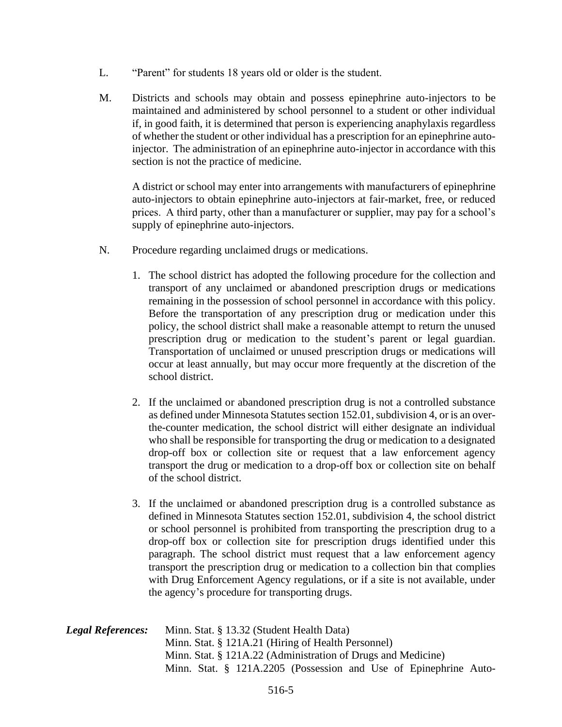- L. "Parent" for students 18 years old or older is the student.
- M. Districts and schools may obtain and possess epinephrine auto-injectors to be maintained and administered by school personnel to a student or other individual if, in good faith, it is determined that person is experiencing anaphylaxis regardless of whether the student or other individual has a prescription for an epinephrine autoinjector. The administration of an epinephrine auto-injector in accordance with this section is not the practice of medicine.

A district or school may enter into arrangements with manufacturers of epinephrine auto-injectors to obtain epinephrine auto-injectors at fair-market, free, or reduced prices. A third party, other than a manufacturer or supplier, may pay for a school's supply of epinephrine auto-injectors.

- N. Procedure regarding unclaimed drugs or medications.
	- 1. The school district has adopted the following procedure for the collection and transport of any unclaimed or abandoned prescription drugs or medications remaining in the possession of school personnel in accordance with this policy. Before the transportation of any prescription drug or medication under this policy, the school district shall make a reasonable attempt to return the unused prescription drug or medication to the student's parent or legal guardian. Transportation of unclaimed or unused prescription drugs or medications will occur at least annually, but may occur more frequently at the discretion of the school district.
	- 2. If the unclaimed or abandoned prescription drug is not a controlled substance as defined under Minnesota Statutes section 152.01, subdivision 4, or is an overthe-counter medication, the school district will either designate an individual who shall be responsible for transporting the drug or medication to a designated drop-off box or collection site or request that a law enforcement agency transport the drug or medication to a drop-off box or collection site on behalf of the school district.
	- 3. If the unclaimed or abandoned prescription drug is a controlled substance as defined in Minnesota Statutes section 152.01, subdivision 4, the school district or school personnel is prohibited from transporting the prescription drug to a drop-off box or collection site for prescription drugs identified under this paragraph. The school district must request that a law enforcement agency transport the prescription drug or medication to a collection bin that complies with Drug Enforcement Agency regulations, or if a site is not available, under the agency's procedure for transporting drugs.
- *Legal References:* Minn. Stat. § 13.32 (Student Health Data) Minn. Stat. § 121A.21 (Hiring of Health Personnel) Minn. Stat. § 121A.22 (Administration of Drugs and Medicine) Minn. Stat. § 121A.2205 (Possession and Use of Epinephrine Auto-